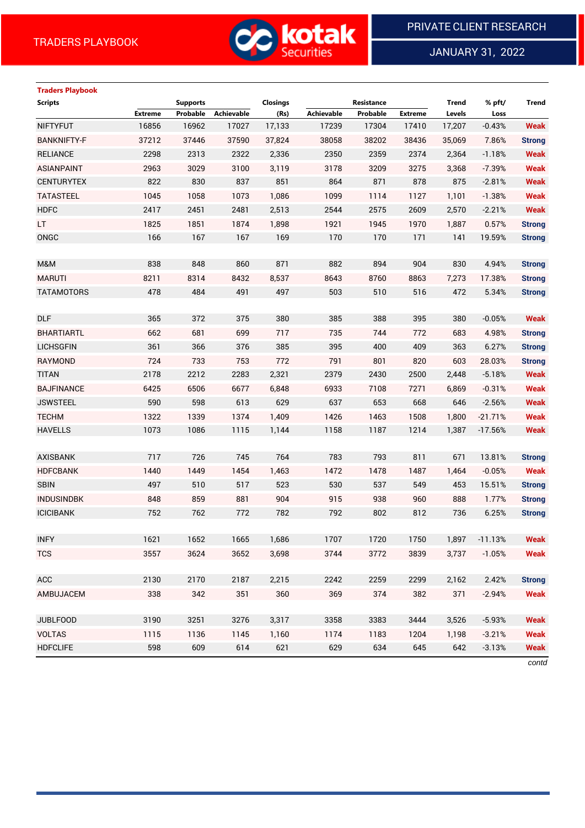

JANUARY 31, 2022

# **Traders Playbook**

| <b>Scripts</b>     |                | <b>Supports</b> |                   | Closings |                   | Resistance |                | <b>Trend</b> | % pft/    | <b>Trend</b>  |
|--------------------|----------------|-----------------|-------------------|----------|-------------------|------------|----------------|--------------|-----------|---------------|
|                    | <b>Extreme</b> | Probable        | <b>Achievable</b> | (Rs)     | <b>Achievable</b> | Probable   | <b>Extreme</b> | Levels       | Loss      |               |
| <b>NIFTYFUT</b>    | 16856          | 16962           | 17027             | 17,133   | 17239             | 17304      | 17410          | 17,207       | $-0.43%$  | <b>Weak</b>   |
| <b>BANKNIFTY-F</b> | 37212          | 37446           | 37590             | 37,824   | 38058             | 38202      | 38436          | 35,069       | 7.86%     | <b>Strong</b> |
| <b>RELIANCE</b>    | 2298           | 2313            | 2322              | 2,336    | 2350              | 2359       | 2374           | 2,364        | $-1.18%$  | <b>Weak</b>   |
| <b>ASIANPAINT</b>  | 2963           | 3029            | 3100              | 3,119    | 3178              | 3209       | 3275           | 3,368        | $-7.39%$  | <b>Weak</b>   |
| <b>CENTURYTEX</b>  | 822            | 830             | 837               | 851      | 864               | 871        | 878            | 875          | $-2.81%$  | <b>Weak</b>   |
| <b>TATASTEEL</b>   | 1045           | 1058            | 1073              | 1,086    | 1099              | 1114       | 1127           | 1,101        | $-1.38%$  | <b>Weak</b>   |
| <b>HDFC</b>        | 2417           | 2451            | 2481              | 2,513    | 2544              | 2575       | 2609           | 2,570        | $-2.21%$  | <b>Weak</b>   |
| LT.                | 1825           | 1851            | 1874              | 1,898    | 1921              | 1945       | 1970           | 1,887        | 0.57%     | <b>Strong</b> |
| ONGC               | 166            | 167             | 167               | 169      | 170               | 170        | 171            | 141          | 19.59%    | <b>Strong</b> |
|                    |                |                 |                   |          |                   |            |                |              |           |               |
| M&M                | 838            | 848             | 860               | 871      | 882               | 894        | 904            | 830          | 4.94%     | <b>Strong</b> |
| <b>MARUTI</b>      | 8211           | 8314            | 8432              | 8,537    | 8643              | 8760       | 8863           | 7,273        | 17.38%    | <b>Strong</b> |
| <b>TATAMOTORS</b>  | 478            | 484             | 491               | 497      | 503               | 510        | 516            | 472          | 5.34%     | <b>Strong</b> |
|                    |                |                 |                   |          |                   |            |                |              |           |               |
| <b>DLF</b>         | 365            | 372             | 375               | 380      | 385               | 388        | 395            | 380          | $-0.05%$  | <b>Weak</b>   |
| <b>BHARTIARTL</b>  | 662            | 681             | 699               | 717      | 735               | 744        | 772            | 683          | 4.98%     | <b>Strong</b> |
| <b>LICHSGFIN</b>   | 361            | 366             | 376               | 385      | 395               | 400        | 409            | 363          | 6.27%     | <b>Strong</b> |
| RAYMOND            | 724            | 733             | 753               | 772      | 791               | 801        | 820            | 603          | 28.03%    | <b>Strong</b> |
| <b>TITAN</b>       | 2178           | 2212            | 2283              | 2,321    | 2379              | 2430       | 2500           | 2,448        | $-5.18%$  | <b>Weak</b>   |
| <b>BAJFINANCE</b>  | 6425           | 6506            | 6677              | 6,848    | 6933              | 7108       | 7271           | 6,869        | $-0.31%$  | <b>Weak</b>   |
| <b>JSWSTEEL</b>    | 590            | 598             | 613               | 629      | 637               | 653        | 668            | 646          | $-2.56%$  | <b>Weak</b>   |
| <b>TECHM</b>       | 1322           | 1339            | 1374              | 1,409    | 1426              | 1463       | 1508           | 1,800        | $-21.71%$ | <b>Weak</b>   |
| <b>HAVELLS</b>     | 1073           | 1086            | 1115              | 1,144    | 1158              | 1187       | 1214           | 1,387        | $-17.56%$ | <b>Weak</b>   |
|                    |                |                 |                   |          |                   |            |                |              |           |               |
| <b>AXISBANK</b>    | 717            | 726             | 745               | 764      | 783               | 793        | 811            | 671          | 13.81%    | <b>Strong</b> |
| <b>HDFCBANK</b>    | 1440           | 1449            | 1454              | 1,463    | 1472              | 1478       | 1487           | 1,464        | $-0.05%$  | <b>Weak</b>   |
| <b>SBIN</b>        | 497            | 510             | 517               | 523      | 530               | 537        | 549            | 453          | 15.51%    | <b>Strong</b> |
| <b>INDUSINDBK</b>  | 848            | 859             | 881               | 904      | 915               | 938        | 960            | 888          | 1.77%     | <b>Strong</b> |
| <b>ICICIBANK</b>   | 752            | 762             | 772               | 782      | 792               | 802        | 812            | 736          | 6.25%     | <b>Strong</b> |
|                    |                |                 |                   |          |                   |            |                |              |           |               |
| <b>INFY</b>        | 1621           | 1652            | 1665              | 1,686    | 1707              | 1720       | 1750           | 1,897        | $-11.13%$ | <b>Weak</b>   |
| <b>TCS</b>         | 3557           | 3624            | 3652              | 3,698    | 3744              | 3772       | 3839           | 3,737        | $-1.05%$  | <b>Weak</b>   |
|                    |                |                 |                   |          |                   |            |                |              |           |               |
| ACC                | 2130           | 2170            | 2187              | 2,215    | 2242              | 2259       | 2299           | 2,162        | 2.42%     | <b>Strong</b> |
| AMBUJACEM          | 338            | 342             | 351               | 360      | 369               | 374        | 382            | 371          | $-2.94%$  | <b>Weak</b>   |
|                    |                |                 |                   |          |                   |            |                |              |           |               |
| <b>JUBLFOOD</b>    | 3190           | 3251            | 3276              | 3,317    | 3358              | 3383       | 3444           | 3,526        | $-5.93%$  | <b>Weak</b>   |
| <b>VOLTAS</b>      | 1115           | 1136            | 1145              | 1,160    | 1174              | 1183       | 1204           | 1,198        | $-3.21%$  | <b>Weak</b>   |
| <b>HDFCLIFE</b>    | 598            | 609             | 614               | 621      | 629               | 634        | 645            | 642          | $-3.13%$  | <b>Weak</b>   |

*contd*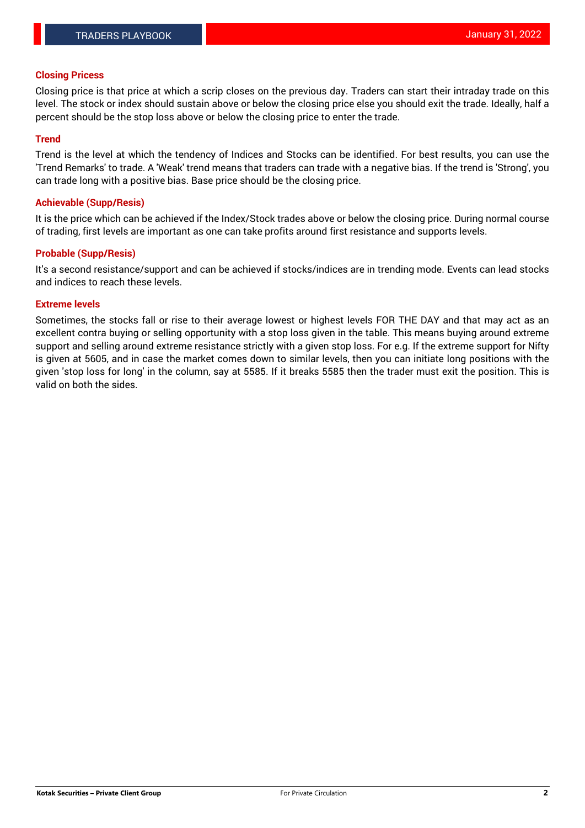#### **Closing Pricess**

Closing price is that price at which a scrip closes on the previous day. Traders can start their intraday trade on this level. The stock or index should sustain above or below the closing price else you should exit the trade. Ideally, half a percent should be the stop loss above or below the closing price to enter the trade.

### **Trend**

Trend is the level at which the tendency of Indices and Stocks can be identified. For best results, you can use the 'Trend Remarks' to trade. A 'Weak' trend means that traders can trade with a negative bias. If the trend is 'Strong', you can trade long with a positive bias. Base price should be the closing price.

#### **Achievable (Supp/Resis)**

It is the price which can be achieved if the Index/Stock trades above or below the closing price. During normal course of trading, first levels are important as one can take profits around first resistance and supports levels.

### **Probable (Supp/Resis)**

It's a second resistance/support and can be achieved if stocks/indices are in trending mode. Events can lead stocks and indices to reach these levels.

#### **Extreme levels**

Sometimes, the stocks fall or rise to their average lowest or highest levels FOR THE DAY and that may act as an excellent contra buying or selling opportunity with a stop loss given in the table. This means buying around extreme support and selling around extreme resistance strictly with a given stop loss. For e.g. If the extreme support for Nifty is given at 5605, and in case the market comes down to similar levels, then you can initiate long positions with the given 'stop loss for long' in the column, say at 5585. If it breaks 5585 then the trader must exit the position. This is valid on both the sides.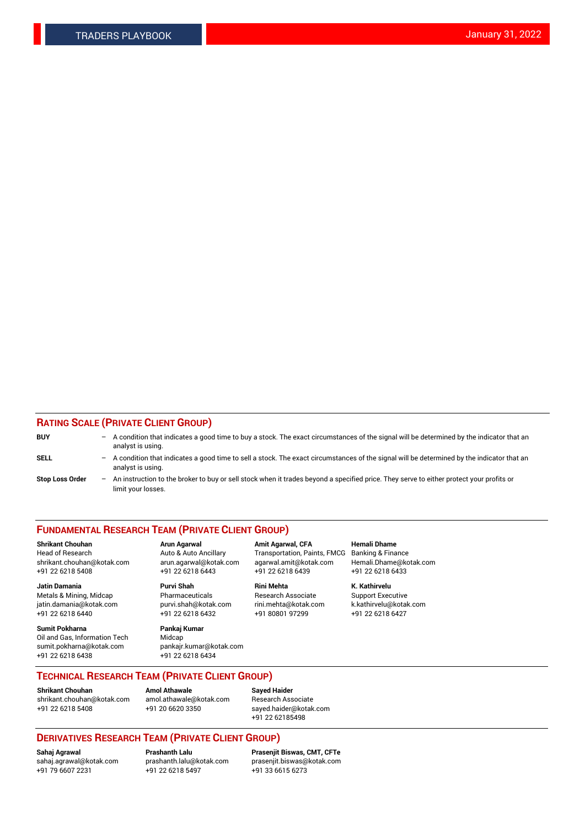### **RATING SCALE (PRIVATE CLIENT GROUP)**

| <b>BUY</b>             | $-$ A condition that indicates a good time to buy a stock. The exact circumstances of the signal will be determined by the indicator that an<br>analyst is using. |
|------------------------|-------------------------------------------------------------------------------------------------------------------------------------------------------------------|
| <b>SELL</b>            | - A condition that indicates a good time to sell a stock. The exact circumstances of the signal will be determined by the indicator that an<br>analyst is using.  |
| <b>Stop Loss Order</b> | - An instruction to the broker to buy or sell stock when it trades beyond a specified price. They serve to either protect your profits or<br>limit your losses.   |

#### **FUNDAMENTAL RESEARCH TEAM (PRIVATE CLIENT GROUP)**

**Shrikant Chouhan Arun Agarwal Amit Agarwal, CFA Hemali Dhame** Head of Research **Auto & Auto Ancillary** Transportation, Paints, FMCG Banking & Finance shrikant.chouhan@kotak.com arun.agarwal@kotak.com agarwal.amit@kotak.com Hemali.Dhame@kotak.com +91 22 6218 5408 +91 22 6218 6443 +91 22 6218 6439 +91 22 6218 6433

**Jatin Damania Purvi Shah Rini Mehta K. Kathirvelu** Metals & Mining, Midcap **Pharmaceuticals** Research Associate Support Executive jatin.damania@kotak.com [purvi.shah@kotak.com](mailto:purvi.shah@kotak.com) rini.mehta@kotak.com [k.kathirvelu@kotak.com](mailto:k.kathirvelu@kotak.com) +91 22 6218 6440 +91 22 6218 6432 +91 80801 97299 +91 22 6218 6427

**Sumit Pokharna Pankaj Kumar** Oil and Gas, Information Tech Midcap<br>sumit.pokharna@kotak.com bankair. +91 22 6218 6438 +91 22 6218 6434

sumit.pokharna@kotak.com pankajr.kumar@kotak.com

**TECHNICAL RESEARCH TEAM (PRIVATE CLIENT GROUP)**

#### **Shrikant Chouhan Amol Athawale**<br> **Amol Athawale** @kotak.com **Busisms** Research Ass [shrikant.chouhan@kotak.com](mailto:shrikant.chouhan@kotak.com) [amol.athawale@kotak.com](mailto:amol.athawale@kotak.com) Research Associate +91 22 6218 5408 +91 20 6620 3350 [sayed.haider@kotak.com](mailto:sayed.haider@kotak.com)

+91 22 62185498

# **DERIVATIVES RESEARCH TEAM (PRIVATE CLIENT GROUP)**

 $+91$  22 6218 5497

**Sahaj Agrawal Prashanth Lalu Prasenjit Biswas, CMT, CFTe** [sahaj.agrawal@kotak.com](mailto:sahaj.agrawal@kotak.com) [prashanth.lalu@kotak.com](mailto:prashanth.lalu@kotak.com) [prasenjit.biswas@kotak.com](mailto:prasenjit.biswas@kotak.com)